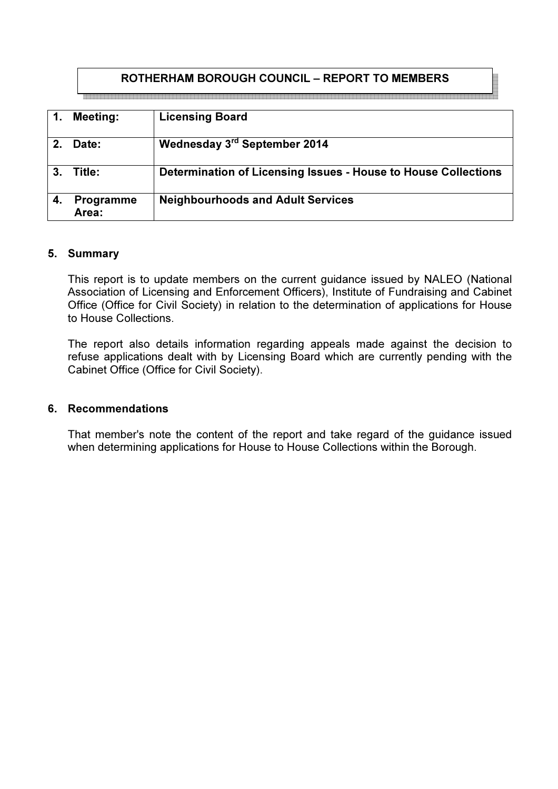# ROTHERHAM BOROUGH COUNCIL – REPORT TO MEMBERS

|    | <b>Meeting:</b>           | <b>Licensing Board</b>                                         |
|----|---------------------------|----------------------------------------------------------------|
|    | Date:                     | Wednesday 3rd September 2014                                   |
| 3. | Title:                    | Determination of Licensing Issues - House to House Collections |
| 4. | <b>Programme</b><br>Area: | <b>Neighbourhoods and Adult Services</b>                       |

#### 5. Summary

This report is to update members on the current guidance issued by NALEO (National Association of Licensing and Enforcement Officers), Institute of Fundraising and Cabinet Office (Office for Civil Society) in relation to the determination of applications for House to House Collections.

The report also details information regarding appeals made against the decision to refuse applications dealt with by Licensing Board which are currently pending with the Cabinet Office (Office for Civil Society).

### 6. Recommendations

That member's note the content of the report and take regard of the guidance issued when determining applications for House to House Collections within the Borough.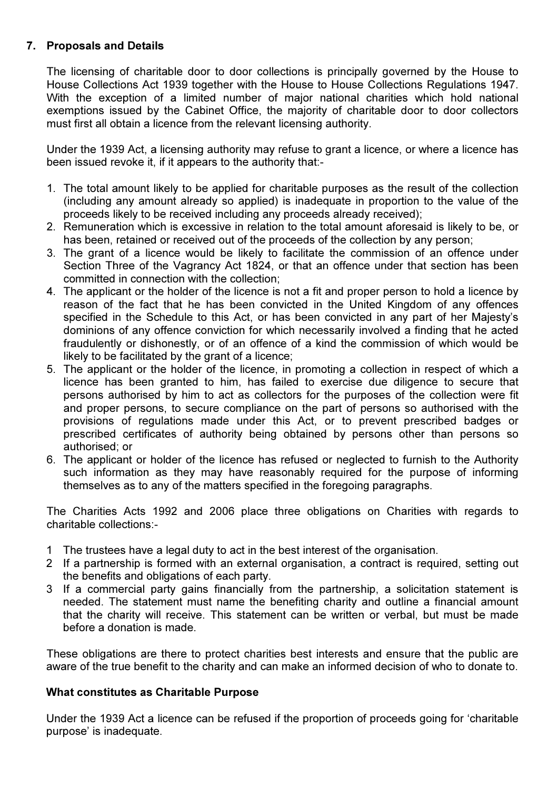## 7. Proposals and Details

The licensing of charitable door to door collections is principally governed by the House to House Collections Act 1939 together with the House to House Collections Regulations 1947. With the exception of a limited number of major national charities which hold national exemptions issued by the Cabinet Office, the majority of charitable door to door collectors must first all obtain a licence from the relevant licensing authority.

Under the 1939 Act, a licensing authority may refuse to grant a licence, or where a licence has been issued revoke it, if it appears to the authority that:-

- 1. The total amount likely to be applied for charitable purposes as the result of the collection (including any amount already so applied) is inadequate in proportion to the value of the proceeds likely to be received including any proceeds already received);
- 2. Remuneration which is excessive in relation to the total amount aforesaid is likely to be, or has been, retained or received out of the proceeds of the collection by any person;
- 3. The grant of a licence would be likely to facilitate the commission of an offence under Section Three of the Vagrancy Act 1824, or that an offence under that section has been committed in connection with the collection;
- 4. The applicant or the holder of the licence is not a fit and proper person to hold a licence by reason of the fact that he has been convicted in the United Kingdom of any offences specified in the Schedule to this Act, or has been convicted in any part of her Majesty's dominions of any offence conviction for which necessarily involved a finding that he acted fraudulently or dishonestly, or of an offence of a kind the commission of which would be likely to be facilitated by the grant of a licence;
- 5. The applicant or the holder of the licence, in promoting a collection in respect of which a licence has been granted to him, has failed to exercise due diligence to secure that persons authorised by him to act as collectors for the purposes of the collection were fit and proper persons, to secure compliance on the part of persons so authorised with the provisions of regulations made under this Act, or to prevent prescribed badges or prescribed certificates of authority being obtained by persons other than persons so authorised; or
- 6. The applicant or holder of the licence has refused or neglected to furnish to the Authority such information as they may have reasonably required for the purpose of informing themselves as to any of the matters specified in the foregoing paragraphs.

The Charities Acts 1992 and 2006 place three obligations on Charities with regards to charitable collections:-

- 1 The trustees have a legal duty to act in the best interest of the organisation.
- 2 If a partnership is formed with an external organisation, a contract is required, setting out the benefits and obligations of each party.
- 3 If a commercial party gains financially from the partnership, a solicitation statement is needed. The statement must name the benefiting charity and outline a financial amount that the charity will receive. This statement can be written or verbal, but must be made before a donation is made.

 These obligations are there to protect charities best interests and ensure that the public are aware of the true benefit to the charity and can make an informed decision of who to donate to.

## What constitutes as Charitable Purpose

Under the 1939 Act a licence can be refused if the proportion of proceeds going for 'charitable purpose' is inadequate.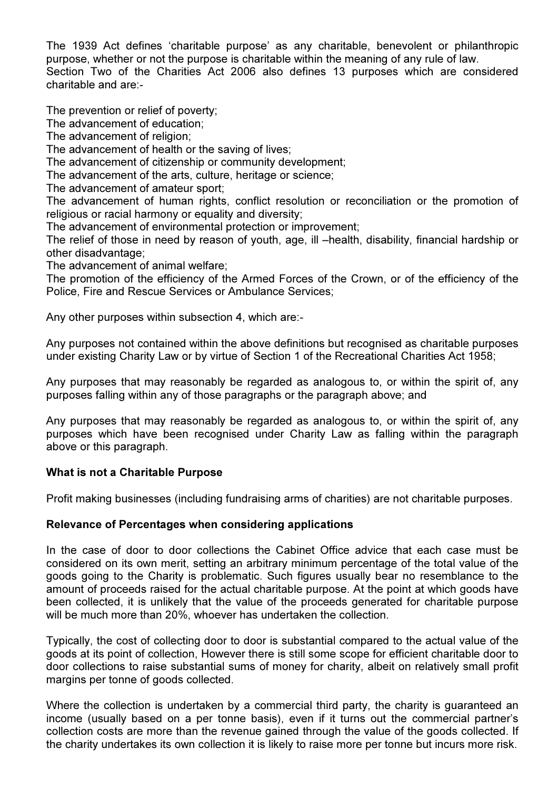The 1939 Act defines 'charitable purpose' as any charitable, benevolent or philanthropic purpose, whether or not the purpose is charitable within the meaning of any rule of law. Section Two of the Charities Act 2006 also defines 13 purposes which are considered charitable and are:-

The prevention or relief of poverty;

The advancement of education;

The advancement of religion;

The advancement of health or the saving of lives;

The advancement of citizenship or community development;

The advancement of the arts, culture, heritage or science;

The advancement of amateur sport;

The advancement of human rights, conflict resolution or reconciliation or the promotion of religious or racial harmony or equality and diversity;

The advancement of environmental protection or improvement;

The relief of those in need by reason of youth, age, ill –health, disability, financial hardship or other disadvantage;

The advancement of animal welfare;

The promotion of the efficiency of the Armed Forces of the Crown, or of the efficiency of the Police, Fire and Rescue Services or Ambulance Services;

Any other purposes within subsection 4, which are:-

Any purposes not contained within the above definitions but recognised as charitable purposes under existing Charity Law or by virtue of Section 1 of the Recreational Charities Act 1958;

Any purposes that may reasonably be regarded as analogous to, or within the spirit of, any purposes falling within any of those paragraphs or the paragraph above; and

Any purposes that may reasonably be regarded as analogous to, or within the spirit of, any purposes which have been recognised under Charity Law as falling within the paragraph above or this paragraph.

## What is not a Charitable Purpose

Profit making businesses (including fundraising arms of charities) are not charitable purposes.

## Relevance of Percentages when considering applications

In the case of door to door collections the Cabinet Office advice that each case must be considered on its own merit, setting an arbitrary minimum percentage of the total value of the goods going to the Charity is problematic. Such figures usually bear no resemblance to the amount of proceeds raised for the actual charitable purpose. At the point at which goods have been collected, it is unlikely that the value of the proceeds generated for charitable purpose will be much more than 20%, whoever has undertaken the collection.

Typically, the cost of collecting door to door is substantial compared to the actual value of the goods at its point of collection, However there is still some scope for efficient charitable door to door collections to raise substantial sums of money for charity, albeit on relatively small profit margins per tonne of goods collected.

Where the collection is undertaken by a commercial third party, the charity is guaranteed an income (usually based on a per tonne basis), even if it turns out the commercial partner's collection costs are more than the revenue gained through the value of the goods collected. If the charity undertakes its own collection it is likely to raise more per tonne but incurs more risk.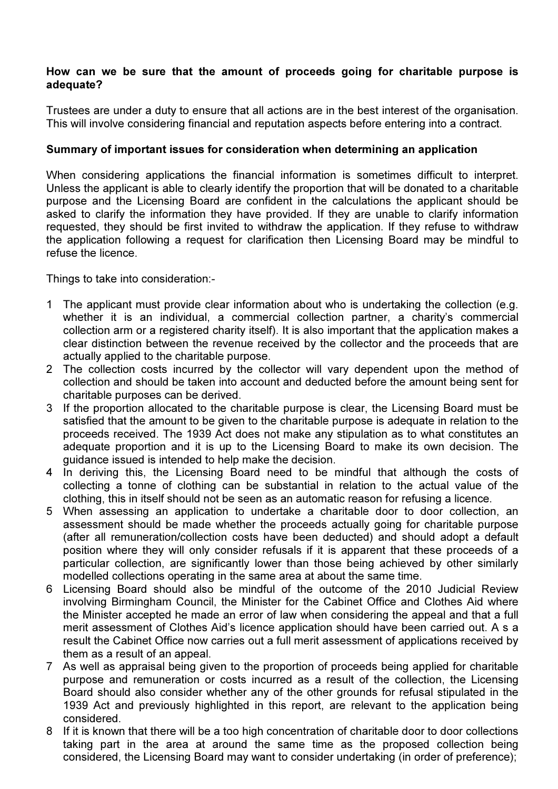### How can we be sure that the amount of proceeds going for charitable purpose is adequate?

Trustees are under a duty to ensure that all actions are in the best interest of the organisation. This will involve considering financial and reputation aspects before entering into a contract.

### Summary of important issues for consideration when determining an application

When considering applications the financial information is sometimes difficult to interpret. Unless the applicant is able to clearly identify the proportion that will be donated to a charitable purpose and the Licensing Board are confident in the calculations the applicant should be asked to clarify the information they have provided. If they are unable to clarify information requested, they should be first invited to withdraw the application. If they refuse to withdraw the application following a request for clarification then Licensing Board may be mindful to refuse the licence.

Things to take into consideration:-

- 1 The applicant must provide clear information about who is undertaking the collection (e.g. whether it is an individual, a commercial collection partner, a charity's commercial collection arm or a registered charity itself). It is also important that the application makes a clear distinction between the revenue received by the collector and the proceeds that are actually applied to the charitable purpose.
- 2 The collection costs incurred by the collector will vary dependent upon the method of collection and should be taken into account and deducted before the amount being sent for charitable purposes can be derived.
- 3 If the proportion allocated to the charitable purpose is clear, the Licensing Board must be satisfied that the amount to be given to the charitable purpose is adequate in relation to the proceeds received. The 1939 Act does not make any stipulation as to what constitutes an adequate proportion and it is up to the Licensing Board to make its own decision. The guidance issued is intended to help make the decision.
- 4 In deriving this, the Licensing Board need to be mindful that although the costs of collecting a tonne of clothing can be substantial in relation to the actual value of the clothing, this in itself should not be seen as an automatic reason for refusing a licence.
- 5 When assessing an application to undertake a charitable door to door collection, an assessment should be made whether the proceeds actually going for charitable purpose (after all remuneration/collection costs have been deducted) and should adopt a default position where they will only consider refusals if it is apparent that these proceeds of a particular collection, are significantly lower than those being achieved by other similarly modelled collections operating in the same area at about the same time.
- 6 Licensing Board should also be mindful of the outcome of the 2010 Judicial Review involving Birmingham Council, the Minister for the Cabinet Office and Clothes Aid where the Minister accepted he made an error of law when considering the appeal and that a full merit assessment of Clothes Aid's licence application should have been carried out. A s a result the Cabinet Office now carries out a full merit assessment of applications received by them as a result of an appeal.
- 7 As well as appraisal being given to the proportion of proceeds being applied for charitable purpose and remuneration or costs incurred as a result of the collection, the Licensing Board should also consider whether any of the other grounds for refusal stipulated in the 1939 Act and previously highlighted in this report, are relevant to the application being considered.
- 8 If it is known that there will be a too high concentration of charitable door to door collections taking part in the area at around the same time as the proposed collection being considered, the Licensing Board may want to consider undertaking (in order of preference);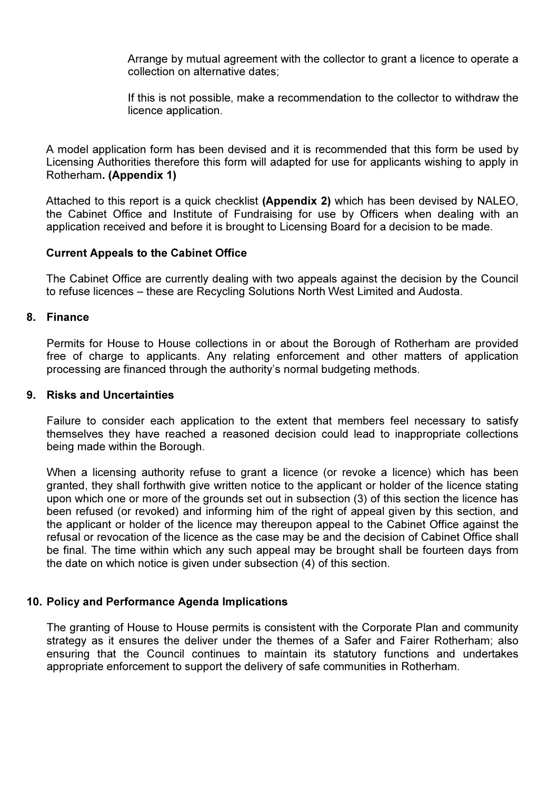Arrange by mutual agreement with the collector to grant a licence to operate a collection on alternative dates;

If this is not possible, make a recommendation to the collector to withdraw the licence application.

A model application form has been devised and it is recommended that this form be used by Licensing Authorities therefore this form will adapted for use for applicants wishing to apply in Rotherham. (Appendix 1)

Attached to this report is a quick checklist (Appendix 2) which has been devised by NALEO, the Cabinet Office and Institute of Fundraising for use by Officers when dealing with an application received and before it is brought to Licensing Board for a decision to be made.

#### Current Appeals to the Cabinet Office

The Cabinet Office are currently dealing with two appeals against the decision by the Council to refuse licences – these are Recycling Solutions North West Limited and Audosta.

#### 8. Finance

Permits for House to House collections in or about the Borough of Rotherham are provided free of charge to applicants. Any relating enforcement and other matters of application processing are financed through the authority's normal budgeting methods.

#### 9. Risks and Uncertainties

Failure to consider each application to the extent that members feel necessary to satisfy themselves they have reached a reasoned decision could lead to inappropriate collections being made within the Borough.

When a licensing authority refuse to grant a licence (or revoke a licence) which has been granted, they shall forthwith give written notice to the applicant or holder of the licence stating upon which one or more of the grounds set out in subsection (3) of this section the licence has been refused (or revoked) and informing him of the right of appeal given by this section, and the applicant or holder of the licence may thereupon appeal to the Cabinet Office against the refusal or revocation of the licence as the case may be and the decision of Cabinet Office shall be final. The time within which any such appeal may be brought shall be fourteen days from the date on which notice is given under subsection (4) of this section.

#### 10. Policy and Performance Agenda Implications

The granting of House to House permits is consistent with the Corporate Plan and community strategy as it ensures the deliver under the themes of a Safer and Fairer Rotherham; also ensuring that the Council continues to maintain its statutory functions and undertakes appropriate enforcement to support the delivery of safe communities in Rotherham.